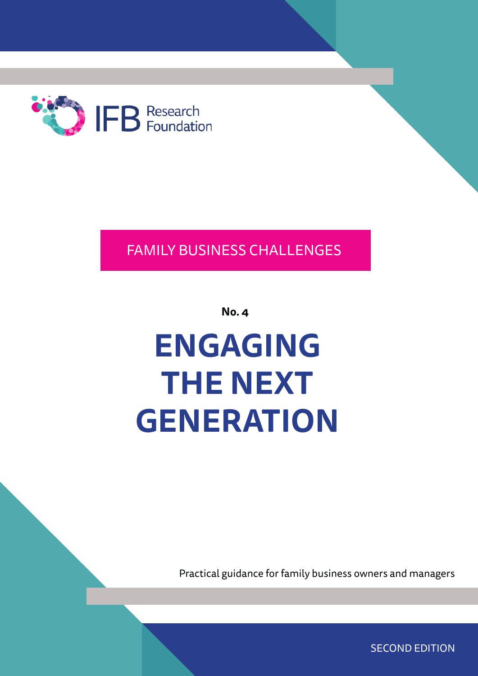

## FAMILY BUSINESS CHALLENGES

**No. 4**

# **ENGAGING THE NEXT GENERATION**

Practical guidance for family business owners and managers

SECOND EDITION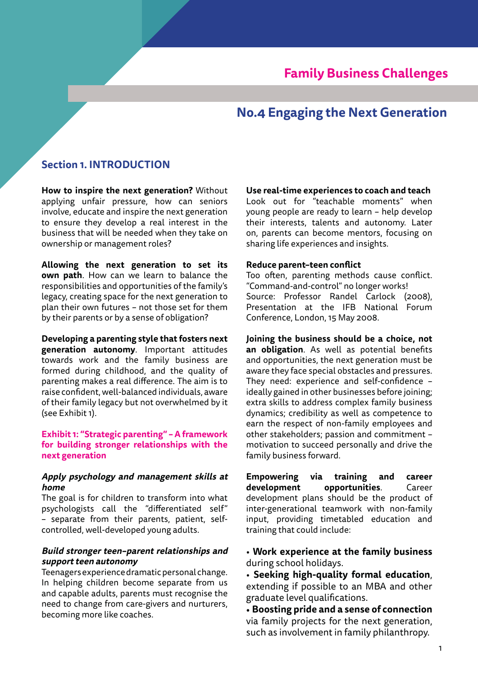## **Family Business Challenges**

## **No.4 Engaging the Next Generation**

#### **Section 1. INTRODUCTION**

**How to inspire the next generation?** Without applying unfair pressure, how can seniors involve, educate and inspire the next generation to ensure they develop a real interest in the business that will be needed when they take on ownership or management roles?

**Allowing the next generation to set its own path**. How can we learn to balance the responsibilities and opportunities of the family's legacy, creating space for the next generation to plan their own futures – not those set for them by their parents or by a sense of obligation?

**Developing a parenting style that fosters next generation autonomy**. Important attitudes towards work and the family business are formed during childhood, and the quality of parenting makes a real difference. The aim is to raise confident, well-balanced individuals, aware of their family legacy but not overwhelmed by it (see Exhibit 1).

#### **Exhibit 1: "Strategic parenting" – A framework for building stronger relationships with the next generation**

#### **Apply psychology and management skills at home**

The goal is for children to transform into what psychologists call the "differentiated self" – separate from their parents, patient, selfcontrolled, well-developed young adults.

#### **Build stronger teen–parent relationships and support teen autonomy**

Teenagers experience dramatic personal change. In helping children become separate from us and capable adults, parents must recognise the need to change from care-givers and nurturers, becoming more like coaches.

**Use real-time experiences to coach and teach**

Look out for "teachable moments" when young people are ready to learn – help develop their interests, talents and autonomy. Later on, parents can become mentors, focusing on sharing life experiences and insights.

#### **Reduce parent–teen conflict**

Too often, parenting methods cause conflict. "Command-and-control" no longer works! Source: Professor Randel Carlock (2008), Presentation at the IFB National Forum Conference, London, 15 May 2008.

**Joining the business should be a choice, not an obligation**. As well as potential benefits and opportunities, the next generation must be aware they face special obstacles and pressures. They need: experience and self-confidence – ideally gained in other businesses before joining; extra skills to address complex family business dynamics; credibility as well as competence to earn the respect of non-family employees and other stakeholders; passion and commitment – motivation to succeed personally and drive the family business forward.

**Empowering via training and career development opportunities**. Career development plans should be the product of inter-generational teamwork with non-family input, providing timetabled education and training that could include:

• **Work experience at the family business**  during school holidays.

• **Seeking high-quality formal education**, extending if possible to an MBA and other graduate level qualifications.

• **Boosting pride and a sense of connection** via family projects for the next generation, such as involvement in family philanthropy.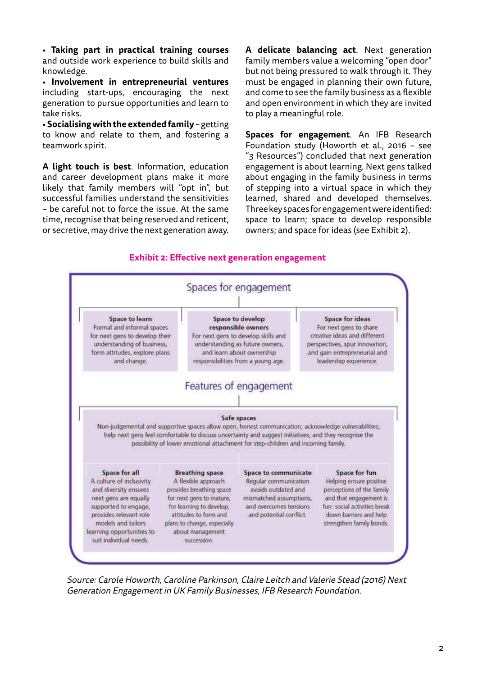• **Taking part in practical training courses** and outside work experience to build skills and knowledge.

• **Involvement in entrepreneurial ventures** including start-ups, encouraging the next generation to pursue opportunities and learn to take risks.

• **Socialising with the extended family** – getting to know and relate to them, and fostering a teamwork spirit.

**A light touch is best**. Information, education and career development plans make it more likely that family members will "opt in", but successful families understand the sensitivities – be careful not to force the issue. At the same time, recognise that being reserved and reticent, or secretive, may drive the next generation away.

**A delicate balancing act**. Next generation family members value a welcoming "open door" but not being pressured to walk through it. They must be engaged in planning their own future, and come to see the family business as a flexible and open environment in which they are invited to play a meaningful role.

**Spaces for engagement**. An IFB Research Foundation study (Howorth et al., 2016 – see "3 Resources") concluded that next generation engagement is about learning. Next gens talked about engaging in the family business in terms of stepping into a virtual space in which they learned, shared and developed themselves. Three key spaces for engagement were identified: space to learn; space to develop responsible owners; and space for ideas (see Exhibit 2).





Source: Carole Howorth, Caroline Parkinson, Claire Leitch and Valerie Stead (2016) Next Generation Engagement in UK Family Businesses, IFB Research Foundation.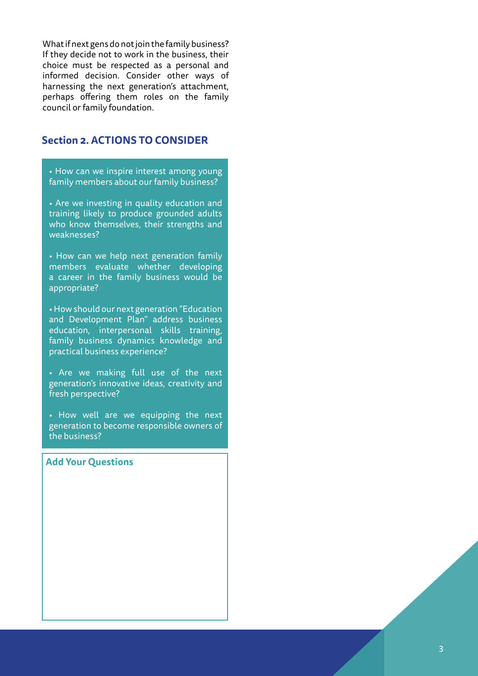What if next gens do not join the family business? If they decide not to work in the business, their choice must be respected as a personal and informed decision. Consider other ways of harnessing the next generation's attachment, perhaps offering them roles on the family council or family foundation.

### **Section 2. ACTIONS TO CONSIDER**

• How can we inspire interest among young family members about our family business?

• Are we investing in quality education and training likely to produce grounded adults who know themselves, their strengths and weaknesses?

• How can we help next generation family members evaluate whether developing a career in the family business would be appropriate?

• How should our next generation "Education and Development Plan" address business education, interpersonal skills training, family business dynamics knowledge and practical business experience?

• Are we making full use of the next generation's innovative ideas, creativity and fresh perspective?

• How well are we equipping the next generation to become responsible owners of the business?

#### **Add Your Questions**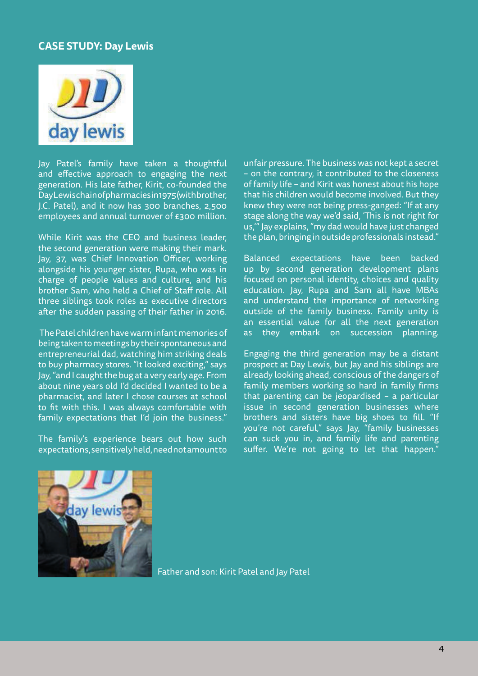#### **CASE STUDY: Day Lewis**



Jay Patel's family have taken a thoughtful and effective approach to engaging the next generation. His late father, Kirit, co-founded the Day Lewis chain of pharmacies in 1975 (with brother, J.C. Patel), and it now has 300 branches, 2,500 employees and annual turnover of £300 million.

While Kirit was the CEO and business leader, the second generation were making their mark. Jay, 37, was Chief Innovation Officer, working alongside his younger sister, Rupa, who was in charge of people values and culture, and his brother Sam, who held a Chief of Staff role. All three siblings took roles as executive directors after the sudden passing of their father in 2016.

 The Patel children have warm infant memories of being taken to meetings by their spontaneous and entrepreneurial dad, watching him striking deals to buy pharmacy stores. "It looked exciting," says Jay, "and I caught the bug at a very early age. From about nine years old I'd decided I wanted to be a pharmacist, and later I chose courses at school to fit with this. I was always comfortable with family expectations that I'd join the business."

The family's experience bears out how such expectations, sensitively held, need not amount to

unfair pressure. The business was not kept a secret – on the contrary, it contributed to the closeness of family life – and Kirit was honest about his hope that his children would become involved. But they knew they were not being press-ganged: "If at any stage along the way we'd said, 'This is not right for us,'" Jay explains, "my dad would have just changed the plan, bringing in outside professionals instead."

Balanced expectations have been backed up by second generation development plans focused on personal identity, choices and quality education. Jay, Rupa and Sam all have MBAs and understand the importance of networking outside of the family business. Family unity is an essential value for all the next generation as they embark on succession planning.

Engaging the third generation may be a distant prospect at Day Lewis, but Jay and his siblings are already looking ahead, conscious of the dangers of family members working so hard in family firms that parenting can be jeopardised – a particular issue in second generation businesses where brothers and sisters have big shoes to fill. "If you're not careful," says Jay, "family businesses can suck you in, and family life and parenting suffer. We're not going to let that happen."



Father and son: Kirit Patel and Jay Patel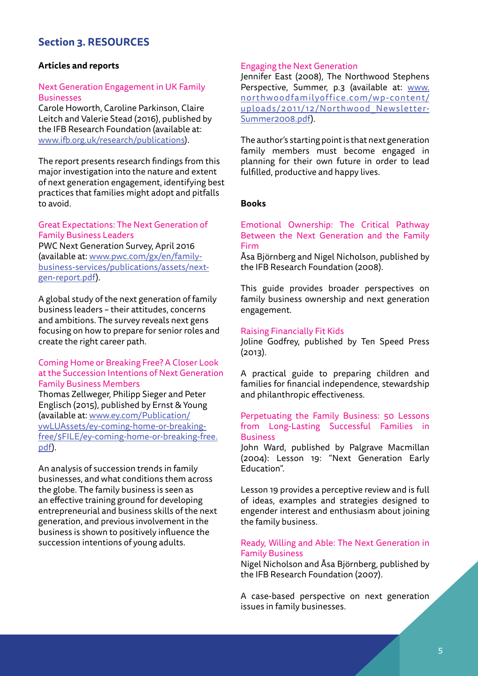## **Section 3. RESOURCES**

#### **Articles and reports**

#### Next Generation Engagement in UK Family **Businesses**

Carole Howorth, Caroline Parkinson, Claire Leitch and Valerie Stead (2016), published by the IFB Research Foundation (available at: www.ifb.org.uk/research/publications).

The report presents research findings from this major investigation into the nature and extent of next generation engagement, identifying best practices that families might adopt and pitfalls to avoid.

#### Great Expectations: The Next Generation of Family Business Leaders

PWC Next Generation Survey, April 2016 (available at: www.pwc.com/gx/en/familybusiness-services/publications/assets/nextgen-report.pdf).

A global study of the next generation of family business leaders – their attitudes, concerns and ambitions. The survey reveals next gens focusing on how to prepare for senior roles and create the right career path.

#### Coming Home or Breaking Free? A Closer Look at the Succession Intentions of Next Generation Family Business Members

Thomas Zellweger, Philipp Sieger and Peter Englisch (2015), published by Ernst & Young (available at: www.ey.com/Publication/ vwLUAssets/ey-coming-home-or-breakingfree/\$FILE/ey-coming-home-or-breaking-free. pdf).

An analysis of succession trends in family businesses, and what conditions them across the globe. The family business is seen as an effective training ground for developing entrepreneurial and business skills of the next generation, and previous involvement in the business is shown to positively influence the succession intentions of young adults.

#### Engaging the Next Generation

Jennifer East (2008), The Northwood Stephens Perspective, Summer, p.3 (available at: www. northwoodfamilyoffice.com/wp-content/ uploads/2011/12/Northwood\_Newsletter-Summer2008.pdf).

The author's starting point is that next generation family members must become engaged in planning for their own future in order to lead fulfilled, productive and happy lives.

#### **Books**

#### Emotional Ownership: The Critical Pathway Between the Next Generation and the Family Firm

Åsa Björnberg and Nigel Nicholson, published by the IFB Research Foundation (2008).

This guide provides broader perspectives on family business ownership and next generation engagement.

#### Raising Financially Fit Kids

Joline Godfrey, published by Ten Speed Press (2013).

A practical guide to preparing children and families for financial independence, stewardship and philanthropic effectiveness.

#### Perpetuating the Family Business: 50 Lessons from Long-Lasting Successful Families in Business

John Ward, published by Palgrave Macmillan (2004): Lesson 19: "Next Generation Early Education".

Lesson 19 provides a perceptive review and is full of ideas, examples and strategies designed to engender interest and enthusiasm about joining the family business.

#### Ready, Willing and Able: The Next Generation in Family Business

Nigel Nicholson and Åsa Björnberg, published by the IFB Research Foundation (2007).

A case-based perspective on next generation issues in family businesses.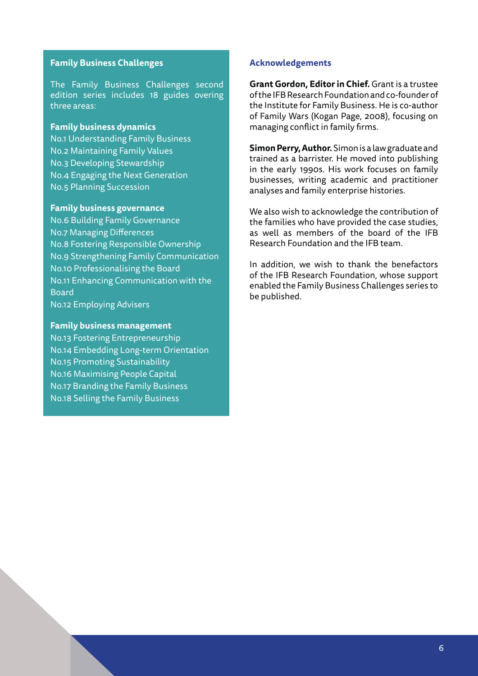#### **Family Business Challenges**

The Family Business Challenges second edition series includes 18 guides overing three areas:

#### **Family business dynamics**

No.1 Understanding Family Business No.2 Maintaining Family Values No.3 Developing Stewardship No.4 Engaging the Next Generation No.5 Planning Succession

#### **Family business governance**

No.6 Building Family Governance No.7 Managing Differences No.8 Fostering Responsible Ownership No.9 Strengthening Family Communication No.10 Professionalising the Board No.11 Enhancing Communication with the Board No.12 Employing Advisers

#### **Family business management**

No.13 Fostering Entrepreneurship No.14 Embedding Long-term Orientation No.15 Promoting Sustainability No.16 Maximising People Capital No.17 Branding the Family Business No.18 Selling the Family Business

#### **Acknowledgements**

**Grant Gordon, Editor in Chief.** Grant is a trustee of the IFB Research Foundation and co-founder of the Institute for Family Business. He is co-author of Family Wars (Kogan Page, 2008), focusing on managing conflict in family firms.

**Simon Perry, Author.** Simon is a law graduate and trained as a barrister. He moved into publishing in the early 1990s. His work focuses on family businesses, writing academic and practitioner analyses and family enterprise histories.

We also wish to acknowledge the contribution of the families who have provided the case studies, as well as members of the board of the IFB Research Foundation and the IFB team.

In addition, we wish to thank the benefactors of the IFB Research Foundation, whose support enabled the Family Business Challenges series to be published.